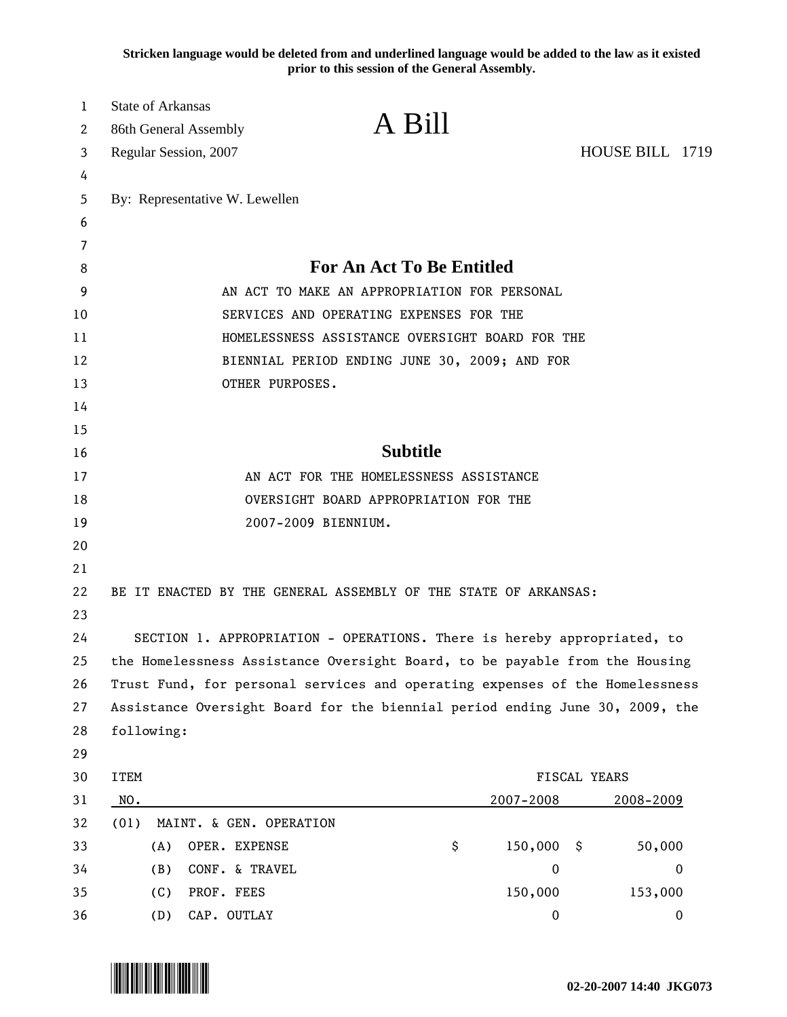**Stricken language would be deleted from and underlined language would be added to the law as it existed prior to this session of the General Assembly.**

| <b>State of Arkansas</b> | 86th General Assembly          | A Bill                                                                       |                  |                 |
|--------------------------|--------------------------------|------------------------------------------------------------------------------|------------------|-----------------|
|                          | Regular Session, 2007          |                                                                              |                  | HOUSE BILL 1719 |
|                          |                                |                                                                              |                  |                 |
|                          | By: Representative W. Lewellen |                                                                              |                  |                 |
|                          |                                |                                                                              |                  |                 |
|                          |                                |                                                                              |                  |                 |
|                          |                                | <b>For An Act To Be Entitled</b>                                             |                  |                 |
|                          |                                | AN ACT TO MAKE AN APPROPRIATION FOR PERSONAL                                 |                  |                 |
|                          |                                | SERVICES AND OPERATING EXPENSES FOR THE                                      |                  |                 |
|                          |                                | HOMELESSNESS ASSISTANCE OVERSIGHT BOARD FOR THE                              |                  |                 |
|                          |                                | BIENNIAL PERIOD ENDING JUNE 30, 2009; AND FOR                                |                  |                 |
|                          | OTHER PURPOSES.                |                                                                              |                  |                 |
|                          |                                |                                                                              |                  |                 |
|                          |                                |                                                                              |                  |                 |
|                          |                                | <b>Subtitle</b>                                                              |                  |                 |
|                          |                                | AN ACT FOR THE HOMELESSNESS ASSISTANCE                                       |                  |                 |
|                          |                                | OVERSIGHT BOARD APPROPRIATION FOR THE                                        |                  |                 |
|                          |                                | 2007-2009 BIENNIUM.                                                          |                  |                 |
|                          |                                |                                                                              |                  |                 |
|                          |                                |                                                                              |                  |                 |
|                          |                                | BE IT ENACTED BY THE GENERAL ASSEMBLY OF THE STATE OF ARKANSAS:              |                  |                 |
|                          |                                | SECTION 1. APPROPRIATION - OPERATIONS. There is hereby appropriated, to      |                  |                 |
|                          |                                | the Homelessness Assistance Oversight Board, to be payable from the Housing  |                  |                 |
|                          |                                | Trust Fund, for personal services and operating expenses of the Homelessness |                  |                 |
|                          |                                | Assistance Oversight Board for the biennial period ending June 30, 2009, the |                  |                 |
| following:               |                                |                                                                              |                  |                 |
|                          |                                |                                                                              |                  |                 |
| <b>ITEM</b>              | FISCAL YEARS                   |                                                                              |                  |                 |
| NO.                      |                                |                                                                              | 2007-2008        | 2008-2009       |
| (01)                     | MAINT. & GEN. OPERATION        |                                                                              |                  |                 |
| (A)                      | OPER. EXPENSE                  | \$                                                                           | 150,000          | 50,000<br>- \$  |
| (B)                      | CONF. & TRAVEL                 |                                                                              | $\mathbf 0$      | $\overline{0}$  |
| (C)                      | PROF. FEES                     |                                                                              | 150,000          | 153,000         |
|                          | CAP. OUTLAY<br>(D)             |                                                                              | $\boldsymbol{0}$ | 0               |